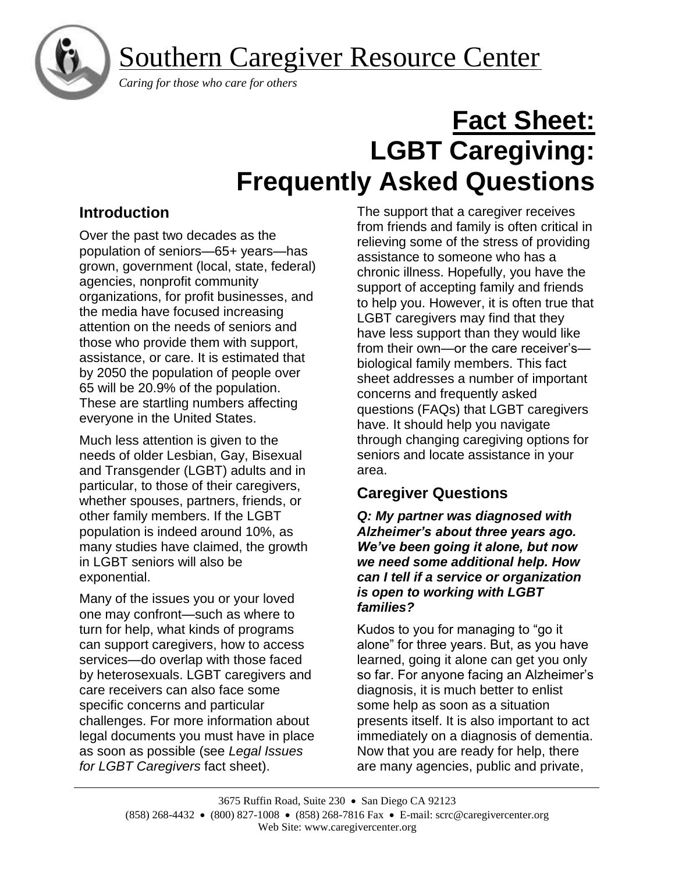Southern Caregiver Resource Center



 *Caring for those who care for others*

# **Fact Sheet: LGBT Caregiving: Frequently Asked Questions**

# **Introduction**

Over the past two decades as the population of seniors—65+ years—has grown, government (local, state, federal) agencies, nonprofit community organizations, for profit businesses, and the media have focused increasing attention on the needs of seniors and those who provide them with support, assistance, or care. It is estimated that by 2050 the population of people over 65 will be 20.9% of the population. These are startling numbers affecting everyone in the United States.

Much less attention is given to the needs of older Lesbian, Gay, Bisexual and Transgender (LGBT) adults and in particular, to those of their caregivers, whether spouses, partners, friends, or other family members. If the LGBT population is indeed around 10%, as many studies have claimed, the growth in LGBT seniors will also be exponential.

Many of the issues you or your loved one may confront—such as where to turn for help, what kinds of programs can support caregivers, how to access services—do overlap with those faced by heterosexuals. LGBT caregivers and care receivers can also face some specific concerns and particular challenges. For more information about legal documents you must have in place as soon as possible (see *Legal Issues for LGBT Caregivers* fact sheet).

The support that a caregiver receives from friends and family is often critical in relieving some of the stress of providing assistance to someone who has a chronic illness. Hopefully, you have the support of accepting family and friends to help you. However, it is often true that LGBT caregivers may find that they have less support than they would like from their own—or the care receiver's biological family members. This fact sheet addresses a number of important concerns and frequently asked questions (FAQs) that LGBT caregivers have. It should help you navigate through changing caregiving options for seniors and locate assistance in your area.

# **Caregiver Questions**

*Q: My partner was diagnosed with Alzheimer's about three years ago. We've been going it alone, but now we need some additional help. How can I tell if a service or organization is open to working with LGBT families?*

Kudos to you for managing to "go it alone" for three years. But, as you have learned, going it alone can get you only so far. For anyone facing an Alzheimer's diagnosis, it is much better to enlist some help as soon as a situation presents itself. It is also important to act immediately on a diagnosis of dementia. Now that you are ready for help, there are many agencies, public and private,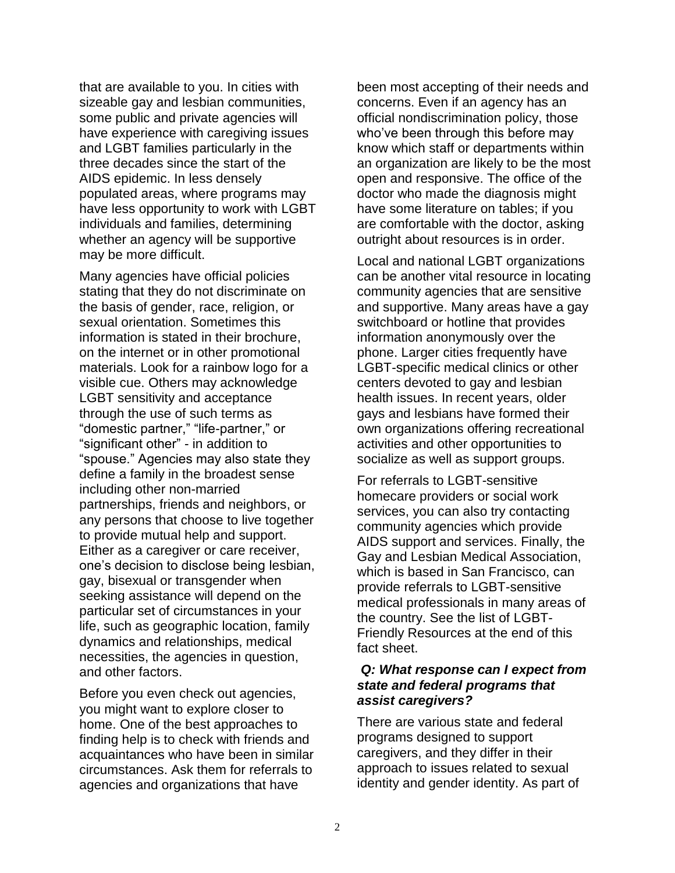that are available to you. In cities with sizeable gay and lesbian communities, some public and private agencies will have experience with caregiving issues and LGBT families particularly in the three decades since the start of the AIDS epidemic. In less densely populated areas, where programs may have less opportunity to work with LGBT individuals and families, determining whether an agency will be supportive may be more difficult.

Many agencies have official policies stating that they do not discriminate on the basis of gender, race, religion, or sexual orientation. Sometimes this information is stated in their brochure, on the internet or in other promotional materials. Look for a rainbow logo for a visible cue. Others may acknowledge LGBT sensitivity and acceptance through the use of such terms as "domestic partner," "life-partner," or "significant other" - in addition to "spouse." Agencies may also state they define a family in the broadest sense including other non-married partnerships, friends and neighbors, or any persons that choose to live together to provide mutual help and support. Either as a caregiver or care receiver, one's decision to disclose being lesbian, gay, bisexual or transgender when seeking assistance will depend on the particular set of circumstances in your life, such as geographic location, family dynamics and relationships, medical necessities, the agencies in question, and other factors.

Before you even check out agencies, you might want to explore closer to home. One of the best approaches to finding help is to check with friends and acquaintances who have been in similar circumstances. Ask them for referrals to agencies and organizations that have

been most accepting of their needs and concerns. Even if an agency has an official nondiscrimination policy, those who've been through this before may know which staff or departments within an organization are likely to be the most open and responsive. The office of the doctor who made the diagnosis might have some literature on tables; if you are comfortable with the doctor, asking outright about resources is in order.

Local and national LGBT organizations can be another vital resource in locating community agencies that are sensitive and supportive. Many areas have a gay switchboard or hotline that provides information anonymously over the phone. Larger cities frequently have LGBT-specific medical clinics or other centers devoted to gay and lesbian health issues. In recent years, older gays and lesbians have formed their own organizations offering recreational activities and other opportunities to socialize as well as support groups.

For referrals to LGBT-sensitive homecare providers or social work services, you can also try contacting community agencies which provide AIDS support and services. Finally, the Gay and Lesbian Medical Association, which is based in San Francisco, can provide referrals to LGBT-sensitive medical professionals in many areas of the country. See the list of LGBT-Friendly Resources at the end of this fact sheet.

#### *Q: What response can I expect from state and federal programs that assist caregivers?*

There are various state and federal programs designed to support caregivers, and they differ in their approach to issues related to sexual identity and gender identity. As part of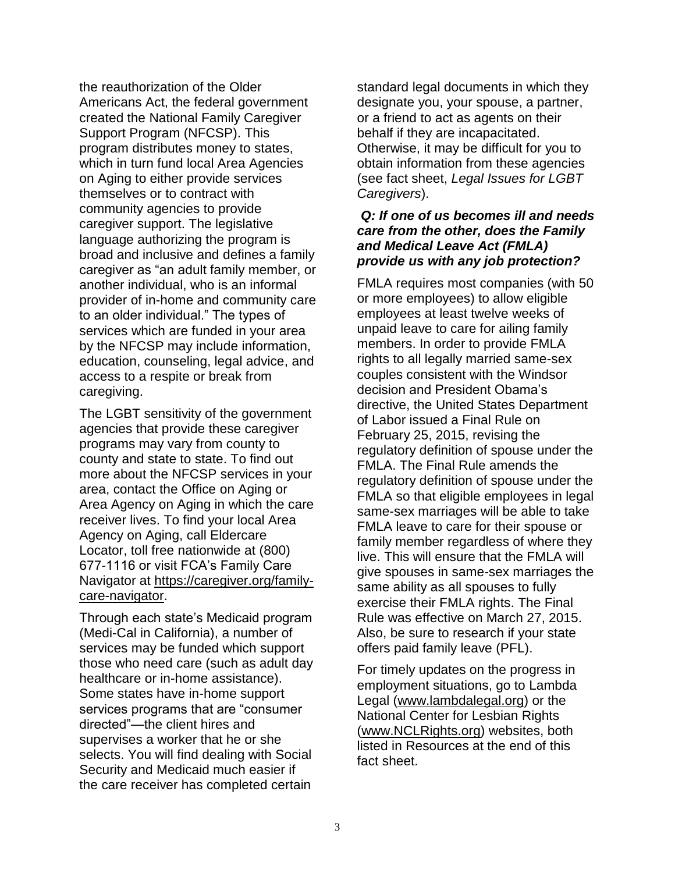the reauthorization of the Older Americans Act, the federal government created the National Family Caregiver Support Program (NFCSP). This program distributes money to states, which in turn fund local Area Agencies on Aging to either provide services themselves or to contract with community agencies to provide caregiver support. The legislative language authorizing the program is broad and inclusive and defines a family caregiver as "an adult family member, or another individual, who is an informal provider of in-home and community care to an older individual." The types of services which are funded in your area by the NFCSP may include information, education, counseling, legal advice, and access to a respite or break from caregiving.

The LGBT sensitivity of the government agencies that provide these caregiver programs may vary from county to county and state to state. To find out more about the NFCSP services in your area, contact the Office on Aging or Area Agency on Aging in which the care receiver lives. To find your local Area Agency on Aging, call Eldercare Locator, toll free nationwide at (800) 677-1116 or visit FCA's Family Care Navigator at [https://caregiver.org/family](https://caregiver.org/family-care-navigator)[care-navigator.](https://caregiver.org/family-care-navigator)

Through each state's Medicaid program (Medi-Cal in California), a number of services may be funded which support those who need care (such as adult day healthcare or in-home assistance). Some states have in-home support services programs that are "consumer directed"—the client hires and supervises a worker that he or she selects. You will find dealing with Social Security and Medicaid much easier if the care receiver has completed certain

standard legal documents in which they designate you, your spouse, a partner, or a friend to act as agents on their behalf if they are incapacitated. Otherwise, it may be difficult for you to obtain information from these agencies (see fact sheet, *Legal Issues for LGBT Caregivers*).

#### *Q: If one of us becomes ill and needs care from the other, does the Family and Medical Leave Act (FMLA) provide us with any job protection?*

FMLA requires most companies (with 50 or more employees) to allow eligible employees at least twelve weeks of unpaid leave to care for ailing family members. In order to provide FMLA rights to all legally married same-sex couples consistent with the Windsor decision and President Obama's directive, the United States Department of Labor issued a Final Rule on February 25, 2015, revising the regulatory definition of spouse under the FMLA. The Final Rule amends the regulatory definition of spouse under the FMLA so that eligible employees in legal same-sex marriages will be able to take FMLA leave to care for their spouse or family member regardless of where they live. This will ensure that the FMLA will give spouses in same-sex marriages the same ability as all spouses to fully exercise their FMLA rights. The Final Rule was effective on March 27, 2015. Also, be sure to research if your state offers paid family leave (PFL).

For timely updates on the progress in employment situations, go to Lambda Legal [\(www.lambdalegal.org\)](http://www.lambdalegal.org/) or the National Center for Lesbian Rights [\(www.NCLRights.org\)](http://www.nclrights.org/) websites, both listed in Resources at the end of this fact sheet.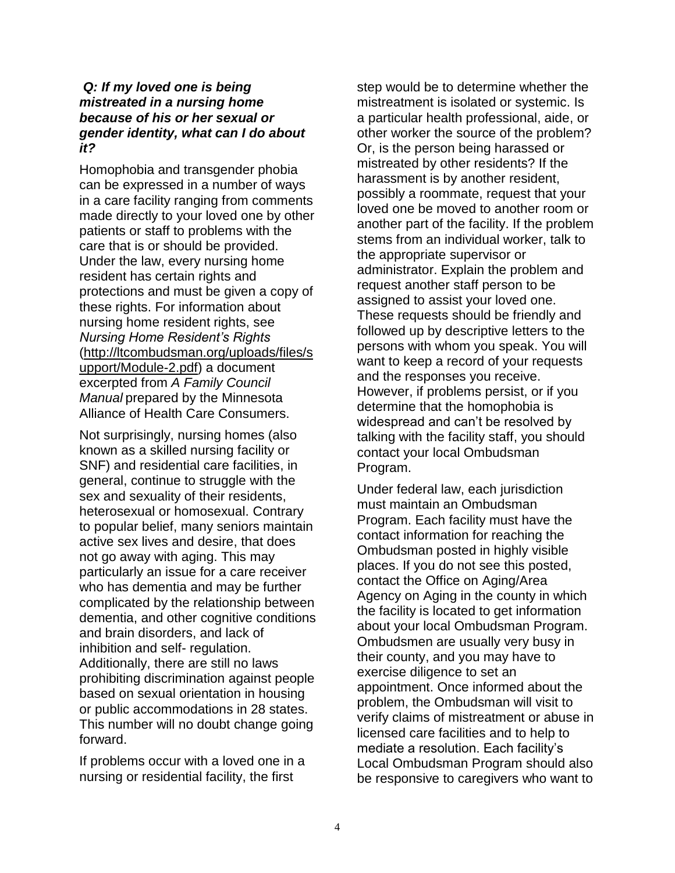#### *Q: If my loved one is being mistreated in a nursing home because of his or her sexual or gender identity, what can I do about it?*

Homophobia and transgender phobia can be expressed in a number of ways in a care facility ranging from comments made directly to your loved one by other patients or staff to problems with the care that is or should be provided. Under the law, every nursing home resident has certain rights and protections and must be given a copy of these rights. For information about nursing home resident rights, see *Nursing Home Resident's Rights*  [\(http://ltcombudsman.org/uploads/files/s](http://ltcombudsman.org/uploads/files/support/Module-2.pdf) [upport/Module-2.pdf\)](http://ltcombudsman.org/uploads/files/support/Module-2.pdf) a document excerpted from *A Family Council Manual* prepared by the Minnesota Alliance of Health Care Consumers.

Not surprisingly, nursing homes (also known as a skilled nursing facility or SNF) and residential care facilities, in general, continue to struggle with the sex and sexuality of their residents, heterosexual or homosexual. Contrary to popular belief, many seniors maintain active sex lives and desire, that does not go away with aging. This may particularly an issue for a care receiver who has dementia and may be further complicated by the relationship between dementia, and other cognitive conditions and brain disorders, and lack of inhibition and self- regulation. Additionally, there are still no laws prohibiting discrimination against people based on sexual orientation in housing or public accommodations in 28 states. This number will no doubt change going forward.

If problems occur with a loved one in a nursing or residential facility, the first

step would be to determine whether the mistreatment is isolated or systemic. Is a particular health professional, aide, or other worker the source of the problem? Or, is the person being harassed or mistreated by other residents? If the harassment is by another resident, possibly a roommate, request that your loved one be moved to another room or another part of the facility. If the problem stems from an individual worker, talk to the appropriate supervisor or administrator. Explain the problem and request another staff person to be assigned to assist your loved one. These requests should be friendly and followed up by descriptive letters to the persons with whom you speak. You will want to keep a record of your requests and the responses you receive. However, if problems persist, or if you determine that the homophobia is widespread and can't be resolved by talking with the facility staff, you should contact your local Ombudsman Program.

Under federal law, each jurisdiction must maintain an Ombudsman Program. Each facility must have the contact information for reaching the Ombudsman posted in highly visible places. If you do not see this posted, contact the Office on Aging/Area Agency on Aging in the county in which the facility is located to get information about your local Ombudsman Program. Ombudsmen are usually very busy in their county, and you may have to exercise diligence to set an appointment. Once informed about the problem, the Ombudsman will visit to verify claims of mistreatment or abuse in licensed care facilities and to help to mediate a resolution. Each facility's Local Ombudsman Program should also be responsive to caregivers who want to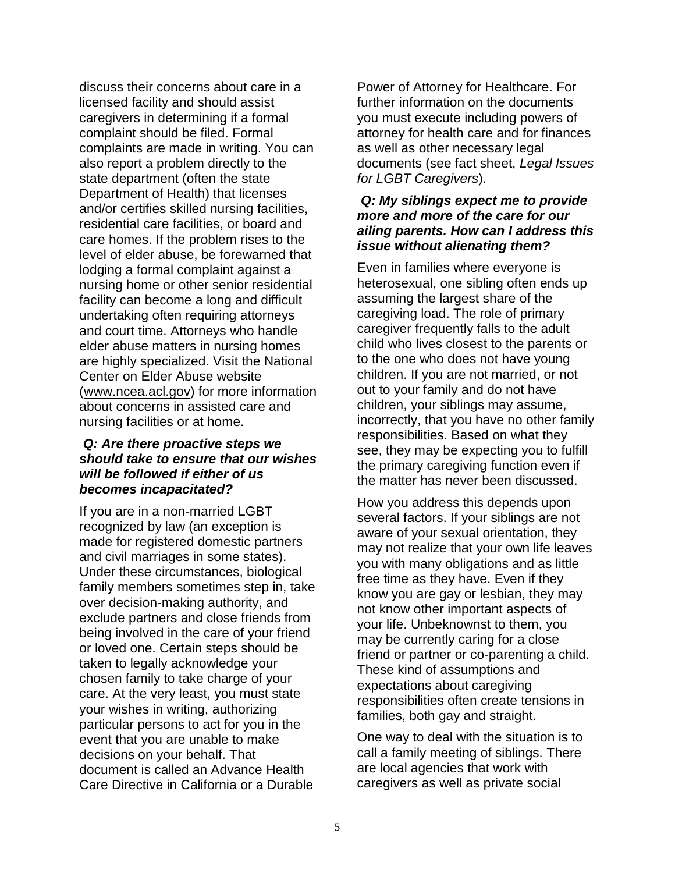discuss their concerns about care in a licensed facility and should assist caregivers in determining if a formal complaint should be filed. Formal complaints are made in writing. You can also report a problem directly to the state department (often the state Department of Health) that licenses and/or certifies skilled nursing facilities, residential care facilities, or board and care homes. If the problem rises to the level of elder abuse, be forewarned that lodging a formal complaint against a nursing home or other senior residential facility can become a long and difficult undertaking often requiring attorneys and court time. Attorneys who handle elder abuse matters in nursing homes are highly specialized. Visit the National Center on Elder Abuse website [\(www.ncea.acl.gov\)](http://www.ncea.acl.gov/) for more information about concerns in assisted care and nursing facilities or at home.

#### *Q: Are there proactive steps we should take to ensure that our wishes will be followed if either of us becomes incapacitated?*

If you are in a non-married LGBT recognized by law (an exception is made for registered domestic partners and civil marriages in some states). Under these circumstances, biological family members sometimes step in, take over decision-making authority, and exclude partners and close friends from being involved in the care of your friend or loved one. Certain steps should be taken to legally acknowledge your chosen family to take charge of your care. At the very least, you must state your wishes in writing, authorizing particular persons to act for you in the event that you are unable to make decisions on your behalf. That document is called an Advance Health Care Directive in California or a Durable

Power of Attorney for Healthcare. For further information on the documents you must execute including powers of attorney for health care and for finances as well as other necessary legal documents (see fact sheet, *Legal Issues for LGBT Caregivers*).

#### *Q: My siblings expect me to provide more and more of the care for our ailing parents. How can I address this issue without alienating them?*

Even in families where everyone is heterosexual, one sibling often ends up assuming the largest share of the caregiving load. The role of primary caregiver frequently falls to the adult child who lives closest to the parents or to the one who does not have young children. If you are not married, or not out to your family and do not have children, your siblings may assume, incorrectly, that you have no other family responsibilities. Based on what they see, they may be expecting you to fulfill the primary caregiving function even if the matter has never been discussed.

How you address this depends upon several factors. If your siblings are not aware of your sexual orientation, they may not realize that your own life leaves you with many obligations and as little free time as they have. Even if they know you are gay or lesbian, they may not know other important aspects of your life. Unbeknownst to them, you may be currently caring for a close friend or partner or co-parenting a child. These kind of assumptions and expectations about caregiving responsibilities often create tensions in families, both gay and straight.

One way to deal with the situation is to call a family meeting of siblings. There are local agencies that work with caregivers as well as private social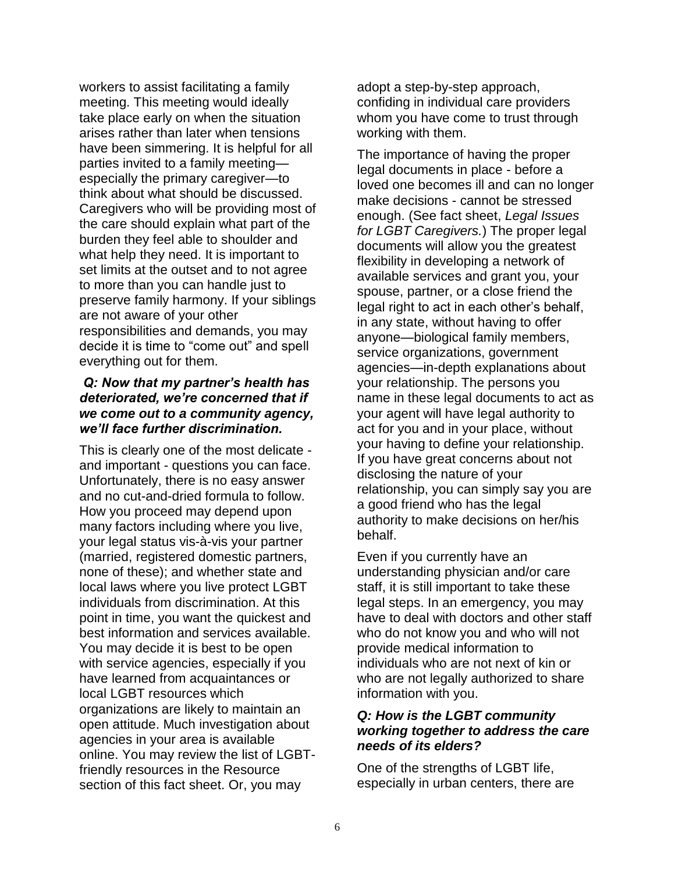workers to assist facilitating a family meeting. This meeting would ideally take place early on when the situation arises rather than later when tensions have been simmering. It is helpful for all parties invited to a family meeting especially the primary caregiver—to think about what should be discussed. Caregivers who will be providing most of the care should explain what part of the burden they feel able to shoulder and what help they need. It is important to set limits at the outset and to not agree to more than you can handle just to preserve family harmony. If your siblings are not aware of your other responsibilities and demands, you may decide it is time to "come out" and spell everything out for them.

#### *Q: Now that my partner's health has deteriorated, we're concerned that if we come out to a community agency, we'll face further discrimination.*

This is clearly one of the most delicate and important - questions you can face. Unfortunately, there is no easy answer and no cut-and-dried formula to follow. How you proceed may depend upon many factors including where you live, your legal status vis-à-vis your partner (married, registered domestic partners, none of these); and whether state and local laws where you live protect LGBT individuals from discrimination. At this point in time, you want the quickest and best information and services available. You may decide it is best to be open with service agencies, especially if you have learned from acquaintances or local LGBT resources which organizations are likely to maintain an open attitude. Much investigation about agencies in your area is available online. You may review the list of LGBTfriendly resources in the Resource section of this fact sheet. Or, you may

adopt a step-by-step approach, confiding in individual care providers whom you have come to trust through working with them.

The importance of having the proper legal documents in place - before a loved one becomes ill and can no longer make decisions - cannot be stressed enough. (See fact sheet, *Legal Issues for LGBT Caregivers.*) The proper legal documents will allow you the greatest flexibility in developing a network of available services and grant you, your spouse, partner, or a close friend the legal right to act in each other's behalf, in any state, without having to offer anyone—biological family members, service organizations, government agencies—in-depth explanations about your relationship. The persons you name in these legal documents to act as your agent will have legal authority to act for you and in your place, without your having to define your relationship. If you have great concerns about not disclosing the nature of your relationship, you can simply say you are a good friend who has the legal authority to make decisions on her/his behalf.

Even if you currently have an understanding physician and/or care staff, it is still important to take these legal steps. In an emergency, you may have to deal with doctors and other staff who do not know you and who will not provide medical information to individuals who are not next of kin or who are not legally authorized to share information with you.

#### *Q: How is the LGBT community working together to address the care needs of its elders?*

One of the strengths of LGBT life, especially in urban centers, there are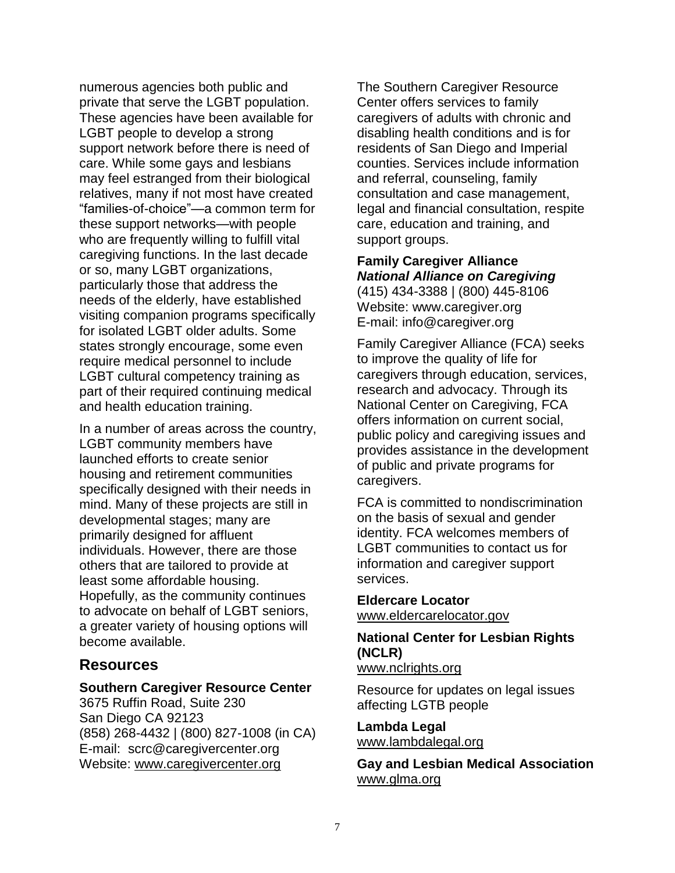numerous agencies both public and private that serve the LGBT population. These agencies have been available for LGBT people to develop a strong support network before there is need of care. While some gays and lesbians may feel estranged from their biological relatives, many if not most have created "families-of-choice"—a common term for these support networks—with people who are frequently willing to fulfill vital caregiving functions. In the last decade or so, many LGBT organizations, particularly those that address the needs of the elderly, have established visiting companion programs specifically for isolated LGBT older adults. Some states strongly encourage, some even require medical personnel to include LGBT cultural competency training as part of their required continuing medical and health education training.

In a number of areas across the country, LGBT community members have launched efforts to create senior housing and retirement communities specifically designed with their needs in mind. Many of these projects are still in developmental stages; many are primarily designed for affluent individuals. However, there are those others that are tailored to provide at least some affordable housing. Hopefully, as the community continues to advocate on behalf of LGBT seniors, a greater variety of housing options will become available.

### **Resources**

#### **Southern Caregiver Resource Center**

3675 Ruffin Road, Suite 230 San Diego CA 92123 (858) 268-4432 | (800) 827-1008 (in CA) E-mail: scrc@caregivercenter.org Website: [www.caregivercenter.org](http://www.caregivercenter.org/)

The Southern Caregiver Resource Center offers services to family caregivers of adults with chronic and disabling health conditions and is for residents of San Diego and Imperial counties. Services include information and referral, counseling, family consultation and case management, legal and financial consultation, respite care, education and training, and support groups.

## **Family Caregiver Alliance** *National Alliance on Caregiving*

(415) 434-3388 | (800) 445-8106 Website: www.caregiver.org E-mail: info@caregiver.org

Family Caregiver Alliance (FCA) seeks to improve the quality of life for caregivers through education, services, research and advocacy. Through its National Center on Caregiving, FCA offers information on current social, public policy and caregiving issues and provides assistance in the development of public and private programs for caregivers.

FCA is committed to nondiscrimination on the basis of sexual and gender identity. FCA welcomes members of LGBT communities to contact us for information and caregiver support services.

#### **Eldercare Locator**

[www.eldercarelocator.gov](http://www.eldercarelocator.gov/)

#### **National Center for Lesbian Rights (NCLR)**

[www.nclrights.org](http://www.nclrights.org/)

Resource for updates on legal issues affecting LGTB people

## **Lambda Legal**

[www.lambdalegal.org](http://www.lambdalegal.org/)

**Gay and Lesbian Medical Association**  [www.glma.org](http://www.glma.org/)